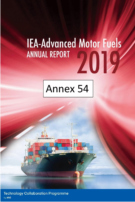# **IEA-Advanced Motor Fuels ANNUAL REPORT** 2019

## Annex 54

**Technology Collaboration Programme** by lea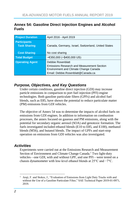#### **Annex 54: Gasoline Direct Injection Engines and Alcohol Fuels**

| <b>Project Duration</b>                    | April 2016 - April 2019                                                                                                                        |
|--------------------------------------------|------------------------------------------------------------------------------------------------------------------------------------------------|
| <b>Participants</b><br><b>Task Sharing</b> | Canada, Germany, Israel, Switzerland, United States                                                                                            |
| <b>Cost Sharing</b>                        | No cost sharing                                                                                                                                |
| <b>Total Budget</b>                        | $~\sim$ €350,000 ( $~\sim$ \$400,000 US)                                                                                                       |
| <b>Operating Agent</b>                     | Debbie Rosenblatt<br>Emissions Research and Measurement Section<br>Environment and Climate Change Canada<br>Email: Debbie.Rosenblatt@Canada.ca |

#### *Purpose, Objectives, and Key Questions*

Under certain conditions, gasoline direct injection (GDI) may increase particle emissions in comparison to port fuel injection (PFI) engine technologies. Both gasoline particulate filters (GPFs) and alcohol fuel blends, such as E85, have shown the potential to reduce particulate matter (PM) emissions from GDI vehicles.

The objective of Annex 54 was to determine the impacts of alcohol fuels on emissions from GDI engines. In addition to information on combustion processes, the annex focused on gaseous and PM emissions, along with the potential for secondary organic aerosol (SOA) and genotoxic formation. The fuels investigated included ethanol blends (E10 to E85, and E100), methanol blends (M56), and butanol blends. The impact of GPFs and start-stop operation on emissions from GDI vehicles was also investigated.

#### *Activities*

Experiments were carried out at the Emissions Research and Measurement Section of Environment and Climate Change Canada.<sup>1</sup> Two light-duty vehicles—one GDI, with and without GPF, and one PFI—were tested on a chassis dynamometer with low-level ethanol blends at 25°C and −7°C.

 $\overline{a}$ Araji, F. and Stokes, J., "Evaluation of Emissions from Light Duty Trucks with and without the Use of a Gasoline Particulate Filter," SAE Technical Paper 2019-01-0971, 2019.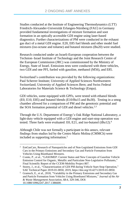Studies conducted at the Institute of Engineering Thermodynamics (LTT) Friedrich-Alexander-Universität Erlangen-Nürnberg (FAU) in Germany provided fundamental investigations of mixture formation and soot formation in an optically accessible GDI engine using laser-based diagnostics. Further characterizations of PM were conducted in the exhaust gas duct of a metal GDI engine. E20, E85 fuel blends and other model fuel mixtures (iso-octane and toluene) and butanol mixtures (Bu20) were studied.

Research conducted under an Israeli-European cooperation between the Technion–Israel Institute of Technology and the Joint Research Centre of the European Commission (JRC) was commissioned by the Ministry of Energy, State of Israel. Emissions tests were conducted with three vehicles, two GDI and one PFI, fueled with gasoline, methanol (M56), and E85.

Switzerland's contribution was provided by the following organizations: Paul Scherrer Institute; University of Applied Sciences Northwestern Switzerland; University of Applied Sciences Bern; and Swiss Federal Laboratories for Materials Science & Technology (Empa).

GDI vehicles, some equipped with GPFs, were tested with ethanol blends (E0, E10, E85) and butanol blends (E10/Bu15 and Bu30). Testing in a smog chamber allowed for a comparison of PM and the genotoxic potential and the SOA formation potential of GDI and diesel vehicles.<sup>2,3</sup>

Through the U.S. Department of Energy's Oak Ridge National Laboratory, a light-duty vehicle equipped with a GDI engine and start-stop operation was tested. Three fuels were evaluated: E0, E21, and iso-butanol  $(iBu12)<sup>4</sup>$ 

Although Chile was not formally a participant in this annex, relevant findings from studies led by the Centro Mario Molina (CMMCh) were included as supporting information. 5

 $\overline{a}$ <sup>2</sup> EmGasCars, Research of Nanoparticles and of Non-Legislated Emissions from GDI Cars in the Primary Emissions and Secondary Gas and Particle Formation from Vehicles Using Bioethanol Mixtures.

<sup>3</sup> Comte, P., et al., "GASOMEP: Current Status and New Concepts of Gasoline Vehicle Emission Control for Organic, Metallic and Particulate Non-Legislative Pollutants," Final Scientific Report of the CCEM-Mobility Project 807.

<sup>4</sup> Storey, J., et al., "Characterization of GDI PM during Vehicle Start-Stop Operation," SAE Technical Paper 2019-01-0050, 2019, https://doi.org/10.4271/2019-01-0050.

<sup>5</sup> Gramsch, E., et al., 2018, "Variability in the Primary Emissions and Secondary Gas and Particle Formation from Vehicles Using Bioethanol Mixtures," *Journal of the Air & Waste Management Association*, 68:4, 329-346, DOI: 10.1080/10962247.2017.1386600.